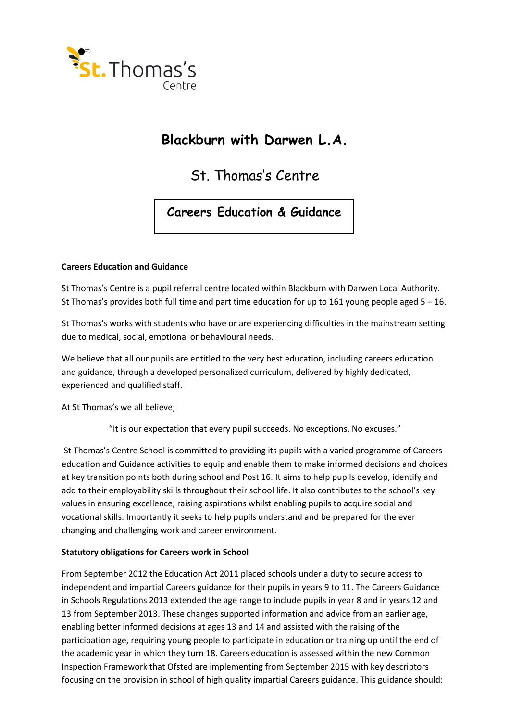

# **Blackburn with Darwen L.A.**

St. Thomas's Centre

# **Careers Education & Guidance**

# **Careers Education and Guidance**

St Thomas's Centre is a pupil referral centre located within Blackburn with Darwen Local Authority. St Thomas's provides both full time and part time education for up to 161 young people aged 5 – 16.

St Thomas's works with students who have or are experiencing difficulties in the mainstream setting due to medical, social, emotional or behavioural needs.

We believe that all our pupils are entitled to the very best education, including careers education and guidance, through a developed personalized curriculum, delivered by highly dedicated, experienced and qualified staff.

At St Thomas's we all believe;

"It is our expectation that every pupil succeeds. No exceptions. No excuses."

St Thomas's Centre School is committed to providing its pupils with a varied programme of Careers education and Guidance activities to equip and enable them to make informed decisions and choices at key transition points both during school and Post 16. It aims to help pupils develop, identify and add to their employability skills throughout their school life. It also contributes to the school's key values in ensuring excellence, raising aspirations whilst enabling pupils to acquire social and vocational skills. Importantly it seeks to help pupils understand and be prepared for the ever changing and challenging work and career environment.

#### **Statutory obligations for Careers work in School**

From September 2012 the Education Act 2011 placed schools under a duty to secure access to independent and impartial Careers guidance for their pupils in years 9 to 11. The Careers Guidance in Schools Regulations 2013 extended the age range to include pupils in year 8 and in years 12 and 13 from September 2013. These changes supported information and advice from an earlier age, enabling better informed decisions at ages 13 and 14 and assisted with the raising of the participation age, requiring young people to participate in education or training up until the end of the academic year in which they turn 18. Careers education is assessed within the new Common Inspection Framework that Ofsted are implementing from September 2015 with key descriptors focusing on the provision in school of high quality impartial Careers guidance. This guidance should: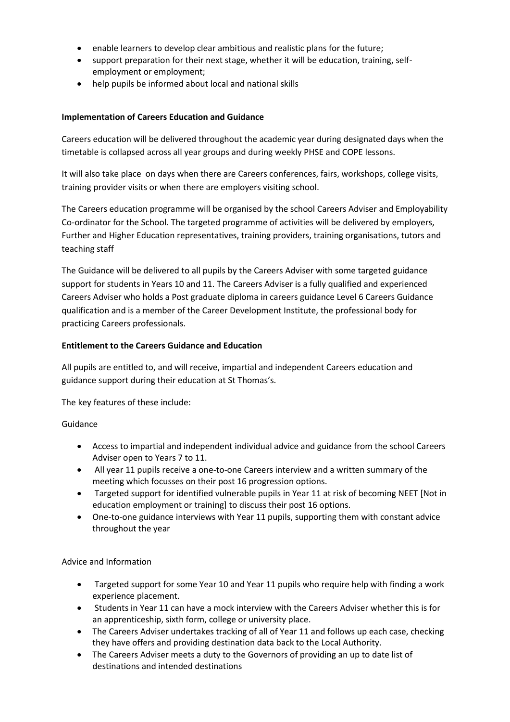- enable learners to develop clear ambitious and realistic plans for the future;
- support preparation for their next stage, whether it will be education, training, selfemployment or employment;
- help pupils be informed about local and national skills

# **Implementation of Careers Education and Guidance**

Careers education will be delivered throughout the academic year during designated days when the timetable is collapsed across all year groups and during weekly PHSE and COPE lessons.

It will also take place on days when there are Careers conferences, fairs, workshops, college visits, training provider visits or when there are employers visiting school.

The Careers education programme will be organised by the school Careers Adviser and Employability Co-ordinator for the School. The targeted programme of activities will be delivered by employers, Further and Higher Education representatives, training providers, training organisations, tutors and teaching staff

The Guidance will be delivered to all pupils by the Careers Adviser with some targeted guidance support for students in Years 10 and 11. The Careers Adviser is a fully qualified and experienced Careers Adviser who holds a Post graduate diploma in careers guidance Level 6 Careers Guidance qualification and is a member of the Career Development Institute, the professional body for practicing Careers professionals.

# **Entitlement to the Careers Guidance and Education**

All pupils are entitled to, and will receive, impartial and independent Careers education and guidance support during their education at St Thomas's.

The key features of these include:

# Guidance

- Access to impartial and independent individual advice and guidance from the school Careers Adviser open to Years 7 to 11.
- All year 11 pupils receive a one-to-one Careers interview and a written summary of the meeting which focusses on their post 16 progression options.
- Targeted support for identified vulnerable pupils in Year 11 at risk of becoming NEET [Not in education employment or training] to discuss their post 16 options.
- One-to-one guidance interviews with Year 11 pupils, supporting them with constant advice throughout the year

# Advice and Information

- Targeted support for some Year 10 and Year 11 pupils who require help with finding a work experience placement.
- Students in Year 11 can have a mock interview with the Careers Adviser whether this is for an apprenticeship, sixth form, college or university place.
- The Careers Adviser undertakes tracking of all of Year 11 and follows up each case, checking they have offers and providing destination data back to the Local Authority.
- The Careers Adviser meets a duty to the Governors of providing an up to date list of destinations and intended destinations